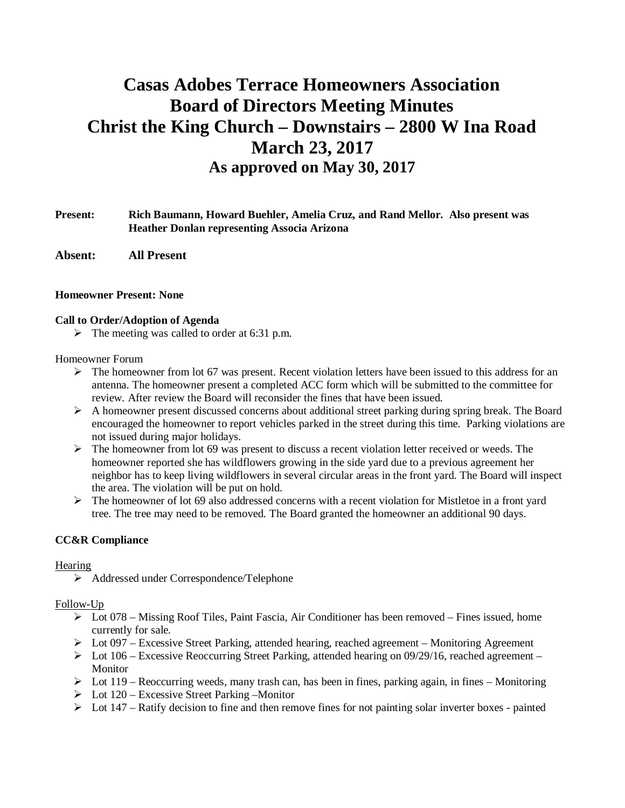# **Casas Adobes Terrace Homeowners Association Board of Directors Meeting Minutes Christ the King Church – Downstairs – 2800 W Ina Road March 23, 2017 As approved on May 30, 2017**

## **Present: Rich Baumann, Howard Buehler, Amelia Cruz, and Rand Mellor. Also present was Heather Donlan representing Associa Arizona**

**Absent: All Present**

#### **Homeowner Present: None**

#### **Call to Order/Adoption of Agenda**

 $\triangleright$  The meeting was called to order at 6:31 p.m.

## Homeowner Forum

- $\triangleright$  The homeowner from lot 67 was present. Recent violation letters have been issued to this address for an antenna. The homeowner present a completed ACC form which will be submitted to the committee for review. After review the Board will reconsider the fines that have been issued.
- $\triangleright$  A homeowner present discussed concerns about additional street parking during spring break. The Board encouraged the homeowner to report vehicles parked in the street during this time. Parking violations are not issued during major holidays.
- $\triangleright$  The homeowner from lot 69 was present to discuss a recent violation letter received or weeds. The homeowner reported she has wildflowers growing in the side yard due to a previous agreement her neighbor has to keep living wildflowers in several circular areas in the front yard. The Board will inspect the area. The violation will be put on hold.
- $\triangleright$  The homeowner of lot 69 also addressed concerns with a recent violation for Mistletoe in a front yard tree. The tree may need to be removed. The Board granted the homeowner an additional 90 days.

## **CC&R Compliance**

#### **Hearing**

Ø Addressed under Correspondence/Telephone

#### Follow-Up

- $\triangleright$  Lot 078 Missing Roof Tiles, Paint Fascia, Air Conditioner has been removed Fines issued, home currently for sale.
- $\triangleright$  Lot 097 Excessive Street Parking, attended hearing, reached agreement Monitoring Agreement
- $\triangleright$  Lot 106 Excessive Reoccurring Street Parking, attended hearing on 09/29/16, reached agreement Monitor
- $\triangleright$  Lot 119 Reoccurring weeds, many trash can, has been in fines, parking again, in fines Monitoring
- $\triangleright$  Lot 120 Excessive Street Parking –Monitor
- $\triangleright$  Lot 147 Ratify decision to fine and then remove fines for not painting solar inverter boxes painted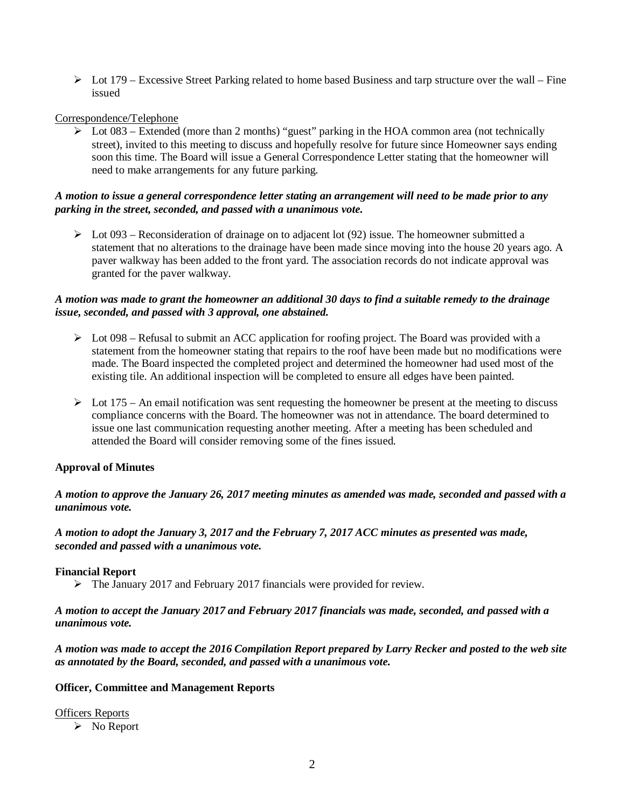$\triangleright$  Lot 179 – Excessive Street Parking related to home based Business and tarp structure over the wall – Fine issued

## Correspondence/Telephone

 $\triangleright$  Lot 083 – Extended (more than 2 months) "guest" parking in the HOA common area (not technically street), invited to this meeting to discuss and hopefully resolve for future since Homeowner says ending soon this time. The Board will issue a General Correspondence Letter stating that the homeowner will need to make arrangements for any future parking.

#### *A motion to issue a general correspondence letter stating an arrangement will need to be made prior to any parking in the street, seconded, and passed with a unanimous vote.*

 $\triangleright$  Lot 093 – Reconsideration of drainage on to adjacent lot (92) issue. The homeowner submitted a statement that no alterations to the drainage have been made since moving into the house 20 years ago. A paver walkway has been added to the front yard. The association records do not indicate approval was granted for the paver walkway.

## *A motion was made to grant the homeowner an additional 30 days to find a suitable remedy to the drainage issue, seconded, and passed with 3 approval, one abstained.*

- $\triangleright$  Lot 098 Refusal to submit an ACC application for roofing project. The Board was provided with a statement from the homeowner stating that repairs to the roof have been made but no modifications were made. The Board inspected the completed project and determined the homeowner had used most of the existing tile. An additional inspection will be completed to ensure all edges have been painted.
- $\triangleright$  Lot 175 An email notification was sent requesting the homeowner be present at the meeting to discuss compliance concerns with the Board. The homeowner was not in attendance. The board determined to issue one last communication requesting another meeting. After a meeting has been scheduled and attended the Board will consider removing some of the fines issued.

## **Approval of Minutes**

*A motion to approve the January 26, 2017 meeting minutes as amended was made, seconded and passed with a unanimous vote.*

*A motion to adopt the January 3, 2017 and the February 7, 2017 ACC minutes as presented was made, seconded and passed with a unanimous vote.*

#### **Financial Report**

Ø The January 2017 and February 2017 financials were provided for review.

*A motion to accept the January 2017 and February 2017 financials was made, seconded, and passed with a unanimous vote.*

*A motion was made to accept the 2016 Compilation Report prepared by Larry Recker and posted to the web site as annotated by the Board, seconded, and passed with a unanimous vote.*

#### **Officer, Committee and Management Reports**

#### Officers Reports

 $\triangleright$  No Report